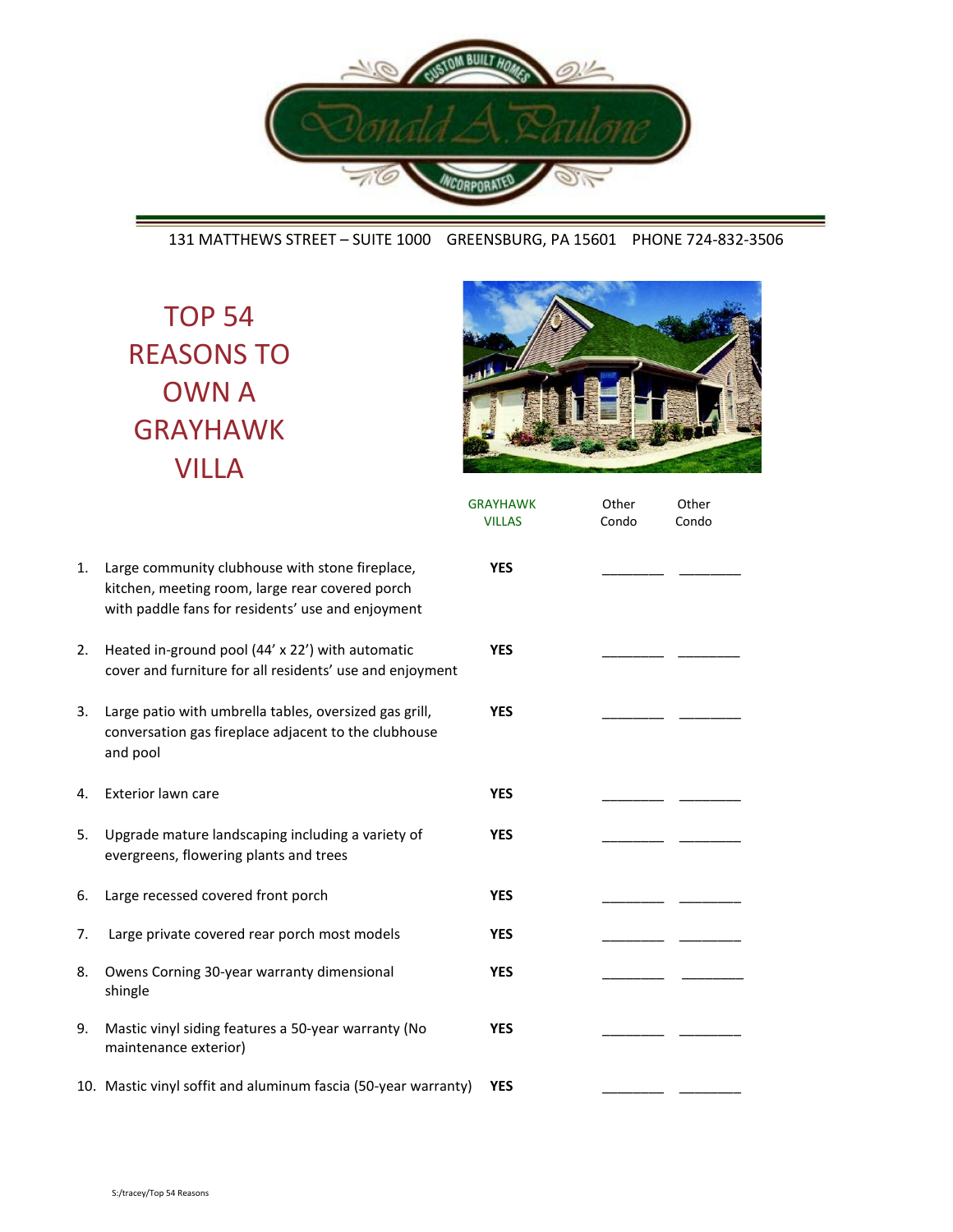

## 131 MATTHEWS STREET – SUITE 1000 GREENSBURG, PA 15601 PHONE 724-832-3506

TOP 54 REASONS TO OWN A GRAYHAWK VILLA



|    |                                                                                                                                                         | <b>GRAYHAWK</b><br><b>VILLAS</b> | Other<br>Condo | Other<br>Condo |  |
|----|---------------------------------------------------------------------------------------------------------------------------------------------------------|----------------------------------|----------------|----------------|--|
| 1. | Large community clubhouse with stone fireplace,<br>kitchen, meeting room, large rear covered porch<br>with paddle fans for residents' use and enjoyment | <b>YES</b>                       |                |                |  |
| 2. | Heated in-ground pool (44' x 22') with automatic<br>cover and furniture for all residents' use and enjoyment                                            | <b>YES</b>                       |                |                |  |
| 3. | Large patio with umbrella tables, oversized gas grill,<br>conversation gas fireplace adjacent to the clubhouse<br>and pool                              | <b>YES</b>                       |                |                |  |
| 4. | Exterior lawn care                                                                                                                                      | <b>YES</b>                       |                |                |  |
| 5. | Upgrade mature landscaping including a variety of<br>evergreens, flowering plants and trees                                                             | <b>YES</b>                       |                |                |  |
| 6. | Large recessed covered front porch                                                                                                                      | <b>YES</b>                       |                |                |  |
| 7. | Large private covered rear porch most models                                                                                                            | <b>YES</b>                       |                |                |  |
| 8. | Owens Corning 30-year warranty dimensional<br>shingle                                                                                                   | <b>YES</b>                       |                |                |  |
| 9. | Mastic vinyl siding features a 50-year warranty (No<br>maintenance exterior)                                                                            | <b>YES</b>                       |                |                |  |
|    | 10. Mastic vinyl soffit and aluminum fascia (50-year warranty)                                                                                          | <b>YES</b>                       |                |                |  |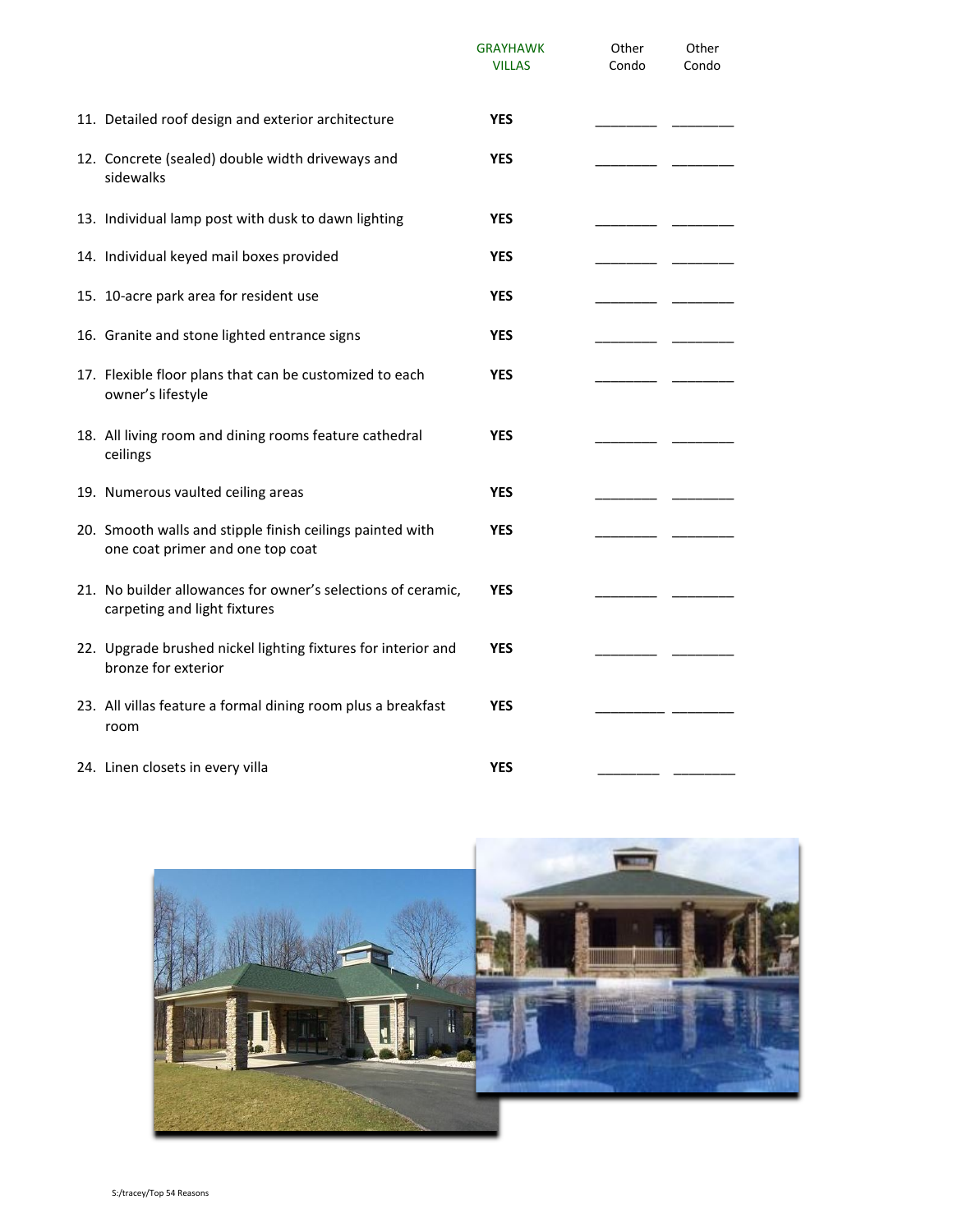|                                                                                               | <b>GRAYHAWK</b><br><b>VILLAS</b> | Other<br>Condo | Other<br>Condo |
|-----------------------------------------------------------------------------------------------|----------------------------------|----------------|----------------|
| 11. Detailed roof design and exterior architecture                                            | <b>YES</b>                       |                |                |
| 12. Concrete (sealed) double width driveways and<br>sidewalks                                 | <b>YES</b>                       |                |                |
| 13. Individual lamp post with dusk to dawn lighting                                           | <b>YES</b>                       |                |                |
| 14. Individual keyed mail boxes provided                                                      | <b>YES</b>                       |                |                |
| 15. 10-acre park area for resident use                                                        | <b>YES</b>                       |                |                |
| 16. Granite and stone lighted entrance signs                                                  | <b>YES</b>                       |                |                |
| 17. Flexible floor plans that can be customized to each<br>owner's lifestyle                  | YES                              |                |                |
| 18. All living room and dining rooms feature cathedral<br>ceilings                            | <b>YES</b>                       |                |                |
| 19. Numerous vaulted ceiling areas                                                            | <b>YES</b>                       |                |                |
| 20. Smooth walls and stipple finish ceilings painted with<br>one coat primer and one top coat | <b>YES</b>                       |                |                |
| 21. No builder allowances for owner's selections of ceramic,<br>carpeting and light fixtures  | <b>YES</b>                       |                |                |
| 22. Upgrade brushed nickel lighting fixtures for interior and<br>bronze for exterior          | <b>YES</b>                       |                |                |
| 23. All villas feature a formal dining room plus a breakfast<br>room                          | YES                              |                |                |
| 24. Linen closets in every villa                                                              | <b>YES</b>                       |                |                |

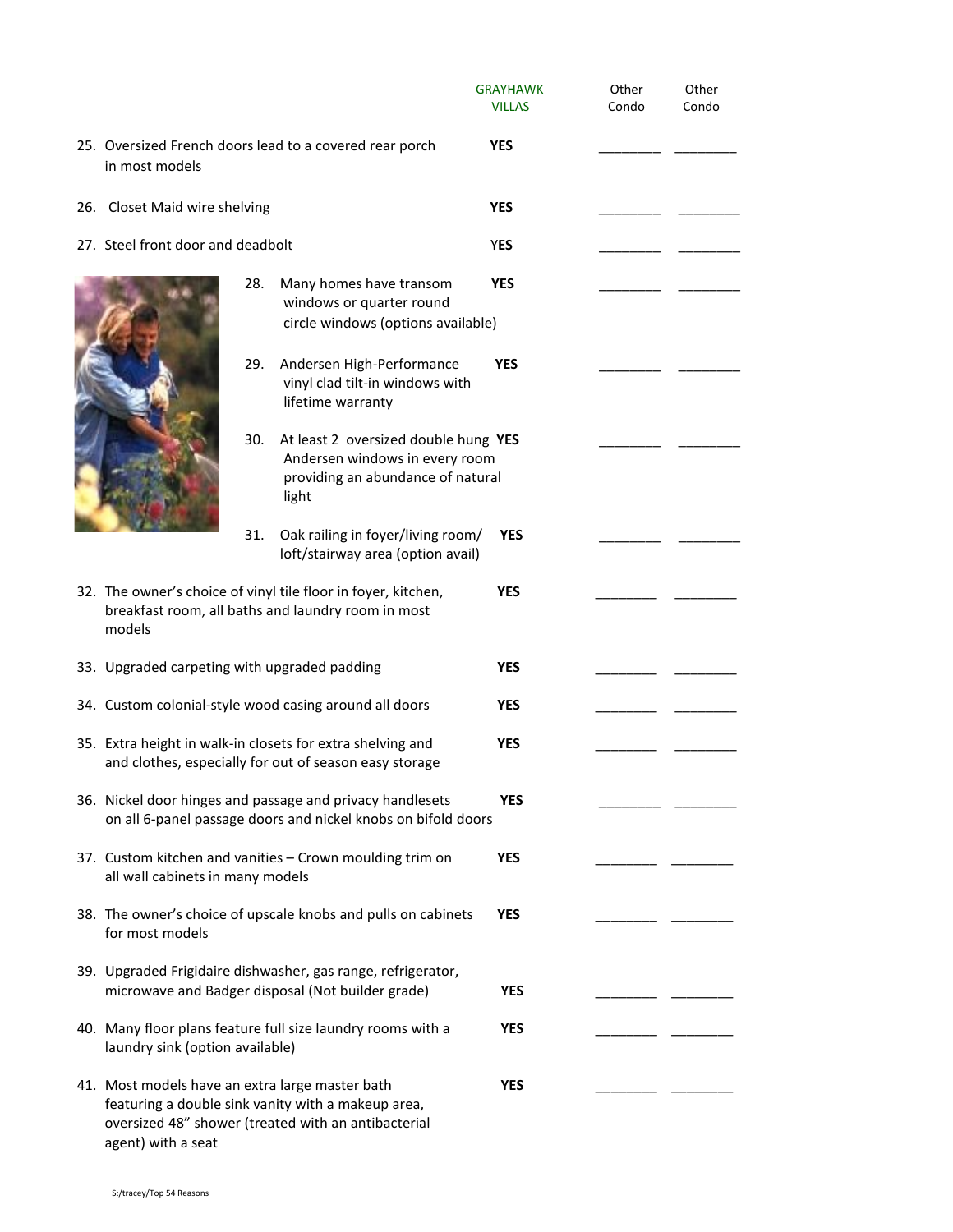|                                                                                                                               |     |                                                                                                                      | <b>GRAYHAWK</b><br><b>VILLAS</b> | Other<br>Condo | Other<br>Condo |
|-------------------------------------------------------------------------------------------------------------------------------|-----|----------------------------------------------------------------------------------------------------------------------|----------------------------------|----------------|----------------|
| in most models                                                                                                                |     | 25. Oversized French doors lead to a covered rear porch                                                              | <b>YES</b>                       |                |                |
| 26. Closet Maid wire shelving                                                                                                 |     |                                                                                                                      | <b>YES</b>                       |                |                |
| 27. Steel front door and deadbolt                                                                                             |     | <b>YES</b>                                                                                                           |                                  |                |                |
|                                                                                                                               | 28. | Many homes have transom<br>windows or quarter round<br>circle windows (options available)                            | <b>YES</b>                       |                |                |
|                                                                                                                               | 29. | Andersen High-Performance<br>vinyl clad tilt-in windows with<br>lifetime warranty                                    | <b>YES</b>                       |                |                |
|                                                                                                                               | 30. | At least 2 oversized double hung YES<br>Andersen windows in every room<br>providing an abundance of natural<br>light |                                  |                |                |
|                                                                                                                               | 31. | Oak railing in foyer/living room/<br>loft/stairway area (option avail)                                               | <b>YES</b>                       |                |                |
| 32. The owner's choice of vinyl tile floor in foyer, kitchen,<br>breakfast room, all baths and laundry room in most<br>models |     |                                                                                                                      | <b>YES</b>                       |                |                |
| 33. Upgraded carpeting with upgraded padding                                                                                  |     |                                                                                                                      | <b>YES</b>                       |                |                |
| 34. Custom colonial-style wood casing around all doors                                                                        |     |                                                                                                                      | <b>YES</b>                       |                |                |
| 35. Extra height in walk-in closets for extra shelving and<br>and clothes, especially for out of season easy storage          |     |                                                                                                                      | <b>YES</b>                       |                |                |
| 36. Nickel door hinges and passage and privacy handlesets<br>on all 6-panel passage doors and nickel knobs on bifold doors    |     |                                                                                                                      | <b>YES</b>                       |                |                |
| all wall cabinets in many models                                                                                              |     | 37. Custom kitchen and vanities - Crown moulding trim on                                                             | <b>YES</b>                       |                |                |
| for most models                                                                                                               |     | 38. The owner's choice of upscale knobs and pulls on cabinets                                                        | <b>YES</b>                       |                |                |
|                                                                                                                               |     | 39. Upgraded Frigidaire dishwasher, gas range, refrigerator,<br>microwave and Badger disposal (Not builder grade)    | <b>YES</b>                       |                |                |
| laundry sink (option available)                                                                                               |     | 40. Many floor plans feature full size laundry rooms with a                                                          | <b>YES</b>                       |                |                |
| 41. Most models have an extra large master bath                                                                               |     | featuring a double sink vanity with a makeup area,<br>oversized 48" shower (treated with an antibacterial            | <b>YES</b>                       |                |                |

agent) with a seat